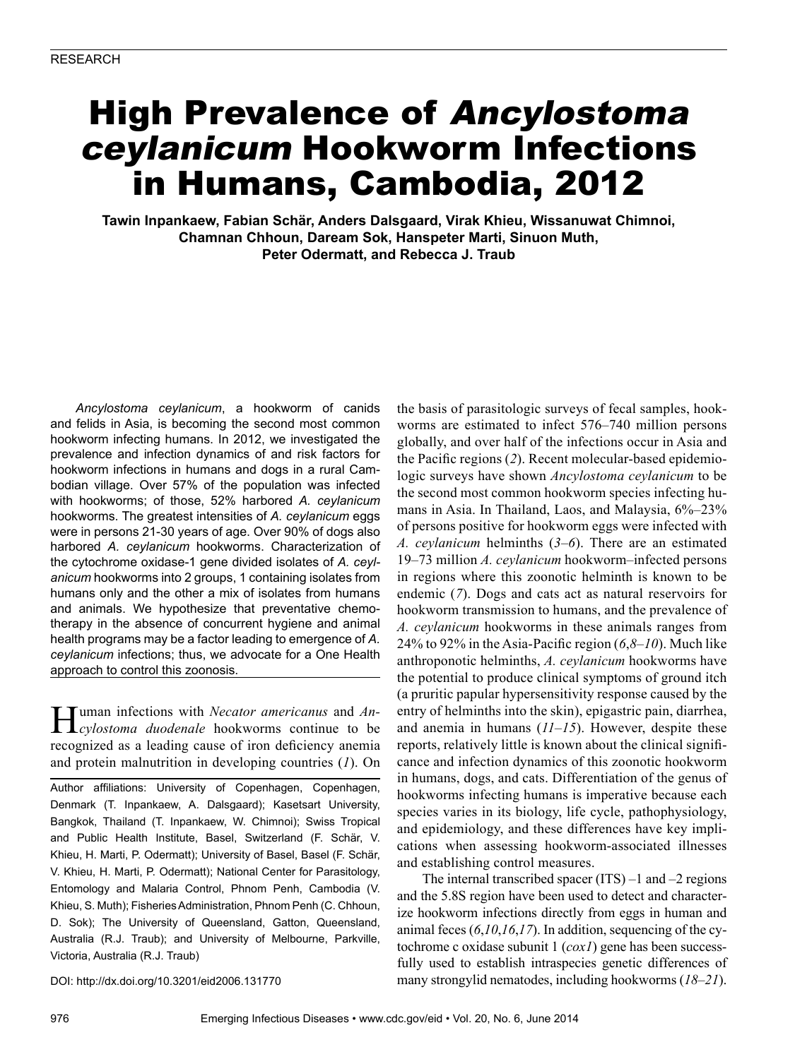# High Prevalence of Ancylostoma ceylanicum Hookworm Infections in Humans, Cambodia, 2012

**Tawin Inpankaew, Fabian Schär, Anders Dalsgaard, Virak Khieu, Wissanuwat Chimnoi, Chamnan Chhoun, Daream Sok, Hanspeter Marti, Sinuon Muth, Peter Odermatt, and Rebecca J. Traub**

*Ancylostoma ceylanicum*, a hookworm of canids and felids in Asia, is becoming the second most common hookworm infecting humans. In 2012, we investigated the prevalence and infection dynamics of and risk factors for hookworm infections in humans and dogs in a rural Cambodian village. Over 57% of the population was infected with hookworms; of those, 52% harbored *A. ceylanicum* hookworms. The greatest intensities of *A. ceylanicum* eggs were in persons 21-30 years of age. Over 90% of dogs also harbored *A. ceylanicum* hookworms. Characterization of the cytochrome oxidase-1 gene divided isolates of *A. ceylanicum* hookworms into 2 groups, 1 containing isolates from humans only and the other a mix of isolates from humans and animals. We hypothesize that preventative chemotherapy in the absence of concurrent hygiene and animal health programs may be a factor leading to emergence of *A. ceylanicum* infections; thus, we advocate for a One Health approach to control this zoonosis.

Human infections with *Necator americanus* and *An-cylostoma duodenale* hookworms continue to be recognized as a leading cause of iron deficiency anemia and protein malnutrition in developing countries (*1*). On

Author affiliations: University of Copenhagen, Copenhagen, Denmark (T. Inpankaew, A. Dalsgaard); Kasetsart University, Bangkok, Thailand (T. Inpankaew, W. Chimnoi); Swiss Tropical and Public Health Institute, Basel, Switzerland (F. Schär, V. Khieu, H. Marti, P. Odermatt); University of Basel, Basel (F. Schär, V. Khieu, H. Marti, P. Odermatt); National Center for Parasitology, Entomology and Malaria Control, Phnom Penh, Cambodia (V. Khieu, S. Muth); Fisheries Administration, Phnom Penh (C. Chhoun, D. Sok); The University of Queensland, Gatton, Queensland, Australia (R.J. Traub); and University of Melbourne, Parkville, Victoria, Australia (R.J. Traub)

DOI: http://dx.doi.org/10.3201/eid2006.131770

the basis of parasitologic surveys of fecal samples, hookworms are estimated to infect 576–740 million persons globally, and over half of the infections occur in Asia and the Pacific regions (*2*). Recent molecular-based epidemiologic surveys have shown *Ancylostoma ceylanicum* to be the second most common hookworm species infecting humans in Asia. In Thailand, Laos, and Malaysia, 6%–23% of persons positive for hookworm eggs were infected with *A. ceylanicum* helminths (*3*–*6*). There are an estimated 19–73 million *A. ceylanicum* hookworm–infected persons in regions where this zoonotic helminth is known to be endemic (*7*). Dogs and cats act as natural reservoirs for hookworm transmission to humans, and the prevalence of *A. ceylanicum* hookworms in these animals ranges from 24% to 92% in the Asia-Pacific region (*6*,*8*–*10*). Much like anthroponotic helminths, *A. ceylanicum* hookworms have the potential to produce clinical symptoms of ground itch (a pruritic papular hypersensitivity response caused by the entry of helminths into the skin), epigastric pain, diarrhea, and anemia in humans (*11*–*15*). However, despite these reports, relatively little is known about the clinical significance and infection dynamics of this zoonotic hookworm in humans, dogs, and cats. Differentiation of the genus of hookworms infecting humans is imperative because each species varies in its biology, life cycle, pathophysiology, and epidemiology, and these differences have key implications when assessing hookworm-associated illnesses and establishing control measures.

The internal transcribed spacer  $(ITS) -1$  and  $-2$  regions and the 5.8S region have been used to detect and characterize hookworm infections directly from eggs in human and animal feces (*6*,*10*,*16*,*17*). In addition, sequencing of the cytochrome c oxidase subunit 1 (*cox1*) gene has been successfully used to establish intraspecies genetic differences of many strongylid nematodes, including hookworms (*18*–*21*).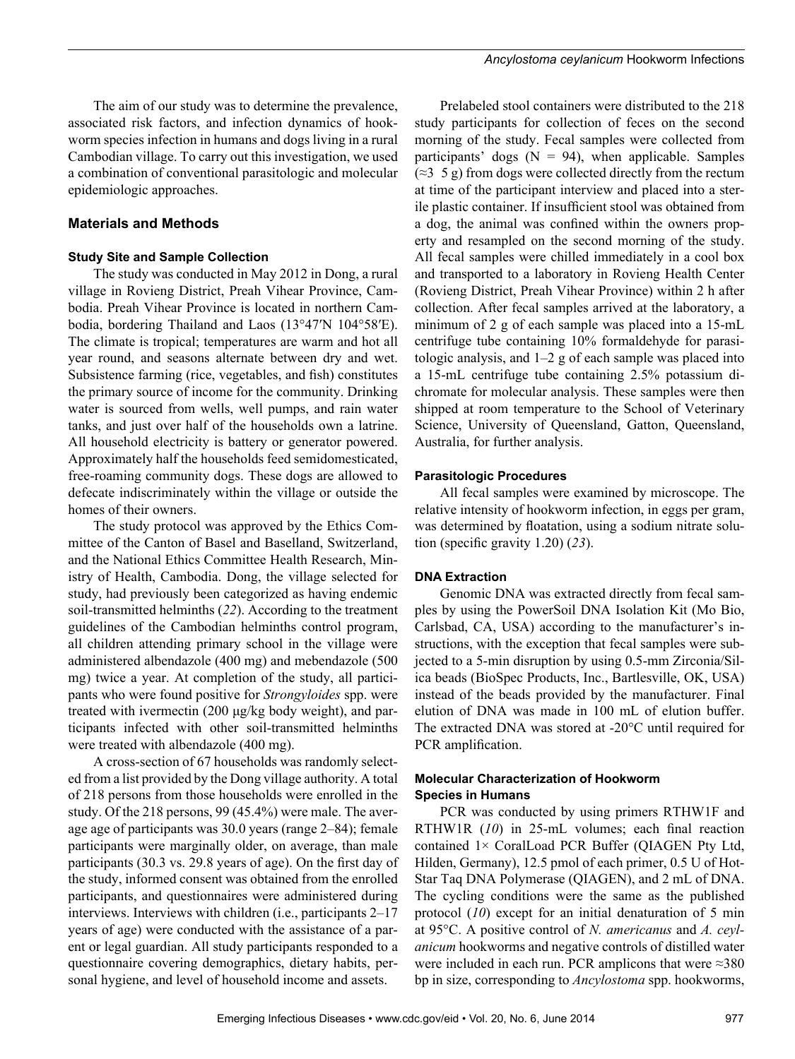The aim of our study was to determine the prevalence, associated risk factors, and infection dynamics of hookworm species infection in humans and dogs living in a rural Cambodian village. To carry out this investigation, we used a combination of conventional parasitologic and molecular epidemiologic approaches.

#### **Materials and Methods**

#### **Study Site and Sample Collection**

The study was conducted in May 2012 in Dong, a rural village in Rovieng District, Preah Vihear Province, Cambodia. Preah Vihear Province is located in northern Cambodia, bordering Thailand and Laos (13°47′N 104°58′E). The climate is tropical; temperatures are warm and hot all year round, and seasons alternate between dry and wet. Subsistence farming (rice, vegetables, and fish) constitutes the primary source of income for the community. Drinking water is sourced from wells, well pumps, and rain water tanks, and just over half of the households own a latrine. All household electricity is battery or generator powered. Approximately half the households feed semidomesticated, free-roaming community dogs. These dogs are allowed to defecate indiscriminately within the village or outside the homes of their owners.

The study protocol was approved by the Ethics Committee of the Canton of Basel and Baselland, Switzerland, and the National Ethics Committee Health Research, Ministry of Health, Cambodia. Dong, the village selected for study, had previously been categorized as having endemic soil-transmitted helminths (*22*). According to the treatment guidelines of the Cambodian helminths control program, all children attending primary school in the village were administered albendazole (400 mg) and mebendazole (500 mg) twice a year. At completion of the study, all participants who were found positive for *Strongyloides* spp. were treated with ivermectin (200 μg/kg body weight), and participants infected with other soil-transmitted helminths were treated with albendazole (400 mg).

A cross-section of 67 households was randomly selected from a list provided by the Dong village authority. A total of 218 persons from those households were enrolled in the study. Of the 218 persons, 99 (45.4%) were male. The average age of participants was 30.0 years (range 2–84); female participants were marginally older, on average, than male participants (30.3 vs. 29.8 years of age). On the first day of the study, informed consent was obtained from the enrolled participants, and questionnaires were administered during interviews. Interviews with children (i.e., participants 2–17 years of age) were conducted with the assistance of a parent or legal guardian. All study participants responded to a questionnaire covering demographics, dietary habits, personal hygiene, and level of household income and assets.

Prelabeled stool containers were distributed to the 218 study participants for collection of feces on the second morning of the study. Fecal samples were collected from participants' dogs  $(N = 94)$ , when applicable. Samples  $(\approx 3, 5, \text{g})$  from dogs were collected directly from the rectum at time of the participant interview and placed into a sterile plastic container. If insufficient stool was obtained from a dog, the animal was confined within the owners property and resampled on the second morning of the study. All fecal samples were chilled immediately in a cool box and transported to a laboratory in Rovieng Health Center (Rovieng District, Preah Vihear Province) within 2 h after collection. After fecal samples arrived at the laboratory, a minimum of 2 g of each sample was placed into a 15-mL centrifuge tube containing 10% formaldehyde for parasitologic analysis, and  $1-2$  g of each sample was placed into a 15-mL centrifuge tube containing 2.5% potassium dichromate for molecular analysis. These samples were then shipped at room temperature to the School of Veterinary Science, University of Queensland, Gatton, Queensland, Australia, for further analysis.

#### **Parasitologic Procedures**

All fecal samples were examined by microscope. The relative intensity of hookworm infection, in eggs per gram, was determined by floatation, using a sodium nitrate solution (specific gravity 1.20) (*23*).

#### **DNA Extraction**

Genomic DNA was extracted directly from fecal samples by using the PowerSoil DNA Isolation Kit (Mo Bio, Carlsbad, CA, USA) according to the manufacturer's instructions, with the exception that fecal samples were subjected to a 5-min disruption by using 0.5-mm Zirconia/Silica beads (BioSpec Products, Inc., Bartlesville, OK, USA) instead of the beads provided by the manufacturer. Final elution of DNA was made in 100 mL of elution buffer. The extracted DNA was stored at -20°C until required for PCR amplification.

#### **Molecular Characterization of Hookworm Species in Humans**

PCR was conducted by using primers RTHW1F and RTHW1R (*10*) in 25-mL volumes; each final reaction contained 1× CoralLoad PCR Buffer (QIAGEN Pty Ltd, Hilden, Germany), 12.5 pmol of each primer, 0.5 U of Hot-Star Taq DNA Polymerase (QIAGEN), and 2 mL of DNA. The cycling conditions were the same as the published protocol (*10*) except for an initial denaturation of 5 min at 95°C. A positive control of *N. americanus* and *A. ceylanicum* hookworms and negative controls of distilled water were included in each run. PCR amplicons that were  $\approx 380$ bp in size, corresponding to *Ancylostoma* spp. hookworms,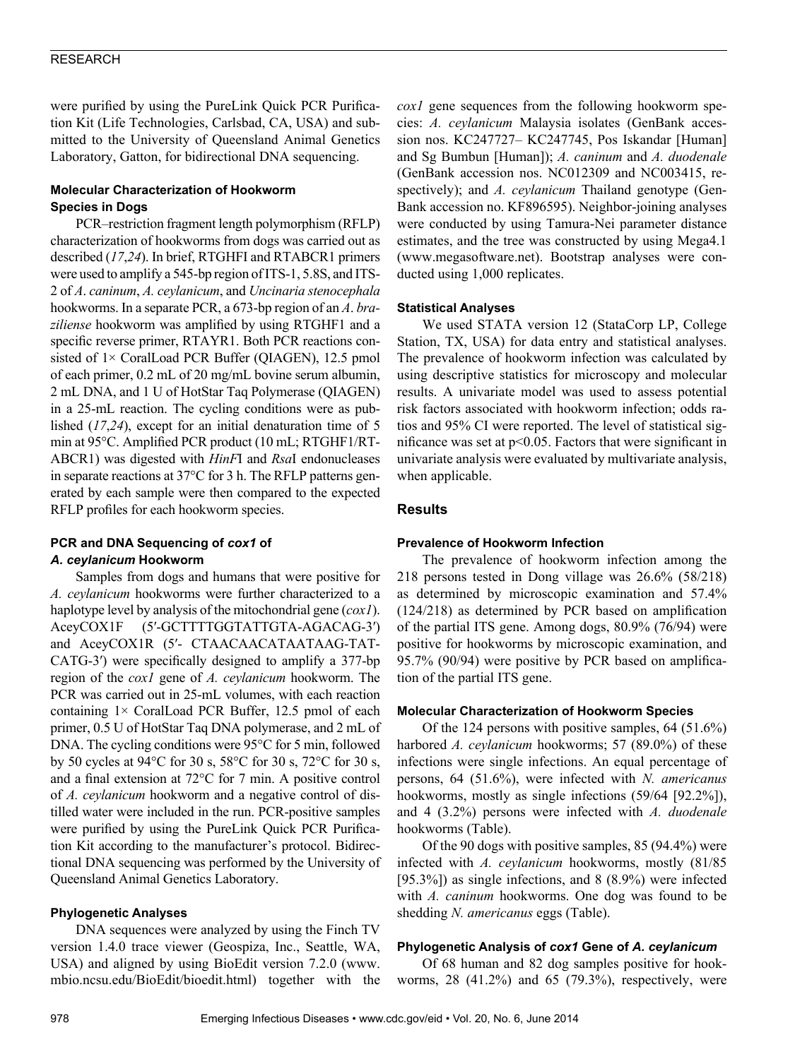were purified by using the PureLink Quick PCR Purification Kit (Life Technologies, Carlsbad, CA, USA) and submitted to the University of Queensland Animal Genetics Laboratory, Gatton, for bidirectional DNA sequencing.

#### **Molecular Characterization of Hookworm Species in Dogs**

PCR–restriction fragment length polymorphism (RFLP) characterization of hookworms from dogs was carried out as described (*17*,*24*). In brief, RTGHFI and RTABCR1 primers were used to amplify a 545-bp region of ITS-1, 5.8S, and ITS-2 of *A*. *caninum*, *A. ceylanicum*, and *Uncinaria stenocephala* hookworms. In a separate PCR, a 673-bp region of an *A*. *braziliense* hookworm was amplified by using RTGHF1 and a specific reverse primer, RTAYR1. Both PCR reactions consisted of 1× CoralLoad PCR Buffer (QIAGEN), 12.5 pmol of each primer, 0.2 mL of 20 mg/mL bovine serum albumin, 2 mL DNA, and 1 U of HotStar Taq Polymerase (QIAGEN) in a 25-mL reaction. The cycling conditions were as published (*17*,*24*), except for an initial denaturation time of 5 min at 95°C. Amplified PCR product (10 mL; RTGHF1/RT-ABCR1) was digested with *HinF*I and *Rsa*I endonucleases in separate reactions at 37°C for 3 h. The RFLP patterns generated by each sample were then compared to the expected RFLP profiles for each hookworm species.

#### **PCR and DNA Sequencing of** *cox1* **of**  *A. ceylanicum* **Hookworm**

Samples from dogs and humans that were positive for *A. ceylanicum* hookworms were further characterized to a haplotype level by analysis of the mitochondrial gene (*cox1*). AceyCOX1F (5′-GCTTTTGGTATTGTA-AGACAG-3′) and AceyCOX1R (5′- CTAACAACATAATAAG-TAT-CATG-3′) were specifically designed to amplify a 377-bp region of the *cox1* gene of *A. ceylanicum* hookworm. The PCR was carried out in 25-mL volumes, with each reaction containing  $1 \times$  CoralLoad PCR Buffer, 12.5 pmol of each primer, 0.5 U of HotStar Taq DNA polymerase, and 2 mL of DNA. The cycling conditions were 95°C for 5 min, followed by 50 cycles at 94°C for 30 s, 58°C for 30 s, 72°C for 30 s, and a final extension at 72°C for 7 min. A positive control of *A. ceylanicum* hookworm and a negative control of distilled water were included in the run. PCR-positive samples were purified by using the PureLink Quick PCR Purification Kit according to the manufacturer's protocol. Bidirectional DNA sequencing was performed by the University of Queensland Animal Genetics Laboratory.

#### **Phylogenetic Analyses**

DNA sequences were analyzed by using the Finch TV version 1.4.0 trace viewer (Geospiza, Inc., Seattle, WA, USA) and aligned by using BioEdit version 7.2.0 (www. mbio.ncsu.edu/BioEdit/bioedit.html) together with the *cox1* gene sequences from the following hookworm species: *A. ceylanicum* Malaysia isolates (GenBank accession nos. KC247727– KC247745, Pos Iskandar [Human] and Sg Bumbun [Human]); *A. caninum* and *A. duodenale* (GenBank accession nos. NC012309 and NC003415, respectively); and *A. ceylanicum* Thailand genotype (Gen-Bank accession no. KF896595). Neighbor-joining analyses were conducted by using Tamura-Nei parameter distance estimates, and the tree was constructed by using Mega4.1 (www.megasoftware.net). Bootstrap analyses were conducted using 1,000 replicates.

#### **Statistical Analyses**

We used STATA version 12 (StataCorp LP, College Station, TX, USA) for data entry and statistical analyses. The prevalence of hookworm infection was calculated by using descriptive statistics for microscopy and molecular results. A univariate model was used to assess potential risk factors associated with hookworm infection; odds ratios and 95% CI were reported. The level of statistical significance was set at p<0.05. Factors that were significant in univariate analysis were evaluated by multivariate analysis, when applicable.

#### **Results**

#### **Prevalence of Hookworm Infection**

The prevalence of hookworm infection among the 218 persons tested in Dong village was 26.6% (58/218) as determined by microscopic examination and 57.4% (124/218) as determined by PCR based on amplification of the partial ITS gene. Among dogs, 80.9% (76/94) were positive for hookworms by microscopic examination, and 95.7% (90/94) were positive by PCR based on amplification of the partial ITS gene.

#### **Molecular Characterization of Hookworm Species**

Of the 124 persons with positive samples, 64 (51.6%) harbored *A. ceylanicum* hookworms; 57 (89.0%) of these infections were single infections. An equal percentage of persons, 64 (51.6%), were infected with *N. americanus* hookworms, mostly as single infections (59/64 [92.2%]), and 4 (3.2%) persons were infected with *A. duodenale* hookworms (Table).

Of the 90 dogs with positive samples, 85 (94.4%) were infected with *A. ceylanicum* hookworms, mostly (81/85 [95.3%]) as single infections, and 8 (8.9%) were infected with *A. caninum* hookworms. One dog was found to be shedding *N. americanus* eggs (Table).

#### **Phylogenetic Analysis of** *cox1* **Gene of** *A. ceylanicum*

Of 68 human and 82 dog samples positive for hookworms, 28 (41.2%) and 65 (79.3%), respectively, were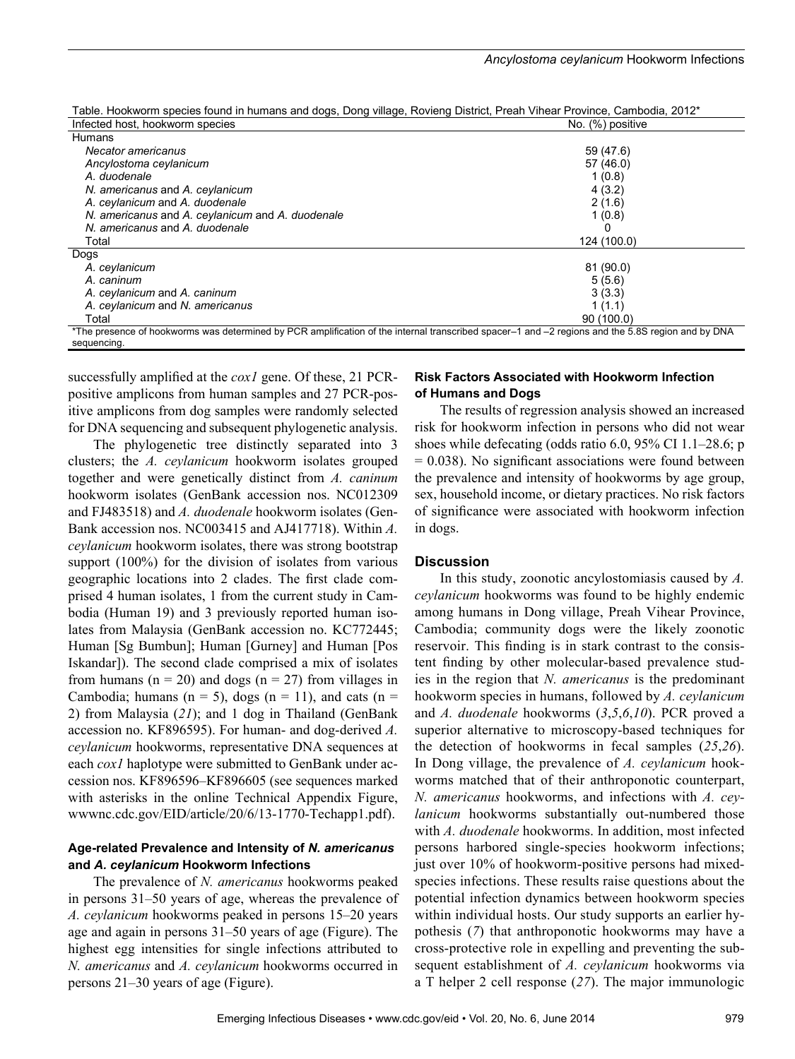| able. Hookworm species found in numans and dogs, Dong Village, Rovieng District, Prean Vinear Province, Cambodia, 2012"                           |                  |
|---------------------------------------------------------------------------------------------------------------------------------------------------|------------------|
| Infected host, hookworm species                                                                                                                   | No. (%) positive |
| Humans                                                                                                                                            |                  |
| Necator americanus                                                                                                                                | 59 (47.6)        |
| Ancylostoma ceylanicum                                                                                                                            | 57 (46.0)        |
| A. duodenale                                                                                                                                      | 1(0.8)           |
| N. americanus and A. ceylanicum                                                                                                                   | 4(3.2)           |
| A. ceylanicum and A. duodenale                                                                                                                    | 2(1.6)           |
| N. americanus and A. ceylanicum and A. duodenale                                                                                                  | 1(0.8)           |
| N. americanus and A. duodenale                                                                                                                    |                  |
| Total                                                                                                                                             | 124 (100.0)      |
| Dogs                                                                                                                                              |                  |
| A. ceylanicum                                                                                                                                     | 81 (90.0)        |
| A. caninum                                                                                                                                        | 5(5.6)           |
| A. ceylanicum and A. caninum                                                                                                                      | 3(3.3)           |
| A. ceylanicum and N. americanus                                                                                                                   | 1(1.1)           |
| Total                                                                                                                                             | 90 (100.0)       |
| *The presence of hookworms was determined by PCR amplification of the internal transcribed spacer–1 and –2 regions and the 5.8S region and by DNA |                  |

Table. Hookworm species found in humans and dogs, Dong village, Rovieng District, Preah Vihear Province, Cambodia, 2012\*

successfully amplified at the *cox1* gene. Of these, 21 PCRpositive amplicons from human samples and 27 PCR-positive amplicons from dog samples were randomly selected for DNA sequencing and subsequent phylogenetic analysis.

sequencing.

The phylogenetic tree distinctly separated into 3 clusters; the *A. ceylanicum* hookworm isolates grouped together and were genetically distinct from *A. caninum* hookworm isolates (GenBank accession nos. NC012309 and FJ483518) and *A. duodenale* hookworm isolates (Gen-Bank accession nos. NC003415 and AJ417718). Within *A. ceylanicum* hookworm isolates, there was strong bootstrap support (100%) for the division of isolates from various geographic locations into 2 clades. The first clade comprised 4 human isolates, 1 from the current study in Cambodia (Human 19) and 3 previously reported human isolates from Malaysia (GenBank accession no. KC772445; Human [Sg Bumbun]; Human [Gurney] and Human [Pos Iskandar]). The second clade comprised a mix of isolates from humans ( $n = 20$ ) and dogs ( $n = 27$ ) from villages in Cambodia; humans ( $n = 5$ ), dogs ( $n = 11$ ), and cats ( $n =$ 2) from Malaysia (*21*); and 1 dog in Thailand (GenBank accession no. KF896595). For human- and dog-derived *A. ceylanicum* hookworms, representative DNA sequences at each *cox1* haplotype were submitted to GenBank under accession nos. KF896596–KF896605 (see sequences marked with asterisks in the online Technical Appendix Figure, wwwnc.cdc.gov/EID/article/20/6/13-1770-Techapp1.pdf).

#### **Age-related Prevalence and Intensity of** *N. americanus* **and** *A. ceylanicum* **Hookworm Infections**

The prevalence of *N. americanus* hookworms peaked in persons 31–50 years of age, whereas the prevalence of *A. ceylanicum* hookworms peaked in persons 15–20 years age and again in persons 31–50 years of age (Figure). The highest egg intensities for single infections attributed to *N. americanus* and *A. ceylanicum* hookworms occurred in persons 21–30 years of age (Figure).

#### **Risk Factors Associated with Hookworm Infection of Humans and Dogs**

The results of regression analysis showed an increased risk for hookworm infection in persons who did not wear shoes while defecating (odds ratio 6.0, 95% CI 1.1–28.6; p  $= 0.038$ ). No significant associations were found between the prevalence and intensity of hookworms by age group, sex, household income, or dietary practices. No risk factors of significance were associated with hookworm infection in dogs.

#### **Discussion**

In this study, zoonotic ancylostomiasis caused by *A. ceylanicum* hookworms was found to be highly endemic among humans in Dong village, Preah Vihear Province, Cambodia; community dogs were the likely zoonotic reservoir. This finding is in stark contrast to the consistent finding by other molecular-based prevalence studies in the region that *N. americanus* is the predominant hookworm species in humans, followed by *A. ceylanicum* and *A. duodenale* hookworms (*3*,*5*,*6*,*10*). PCR proved a superior alternative to microscopy-based techniques for the detection of hookworms in fecal samples (*25*,*26*). In Dong village, the prevalence of *A. ceylanicum* hookworms matched that of their anthroponotic counterpart, *N. americanus* hookworms, and infections with *A. ceylanicum* hookworms substantially out-numbered those with *A. duodenale* hookworms. In addition, most infected persons harbored single-species hookworm infections; just over 10% of hookworm-positive persons had mixedspecies infections. These results raise questions about the potential infection dynamics between hookworm species within individual hosts. Our study supports an earlier hypothesis (*7*) that anthroponotic hookworms may have a cross-protective role in expelling and preventing the subsequent establishment of *A. ceylanicum* hookworms via a T helper 2 cell response (*27*). The major immunologic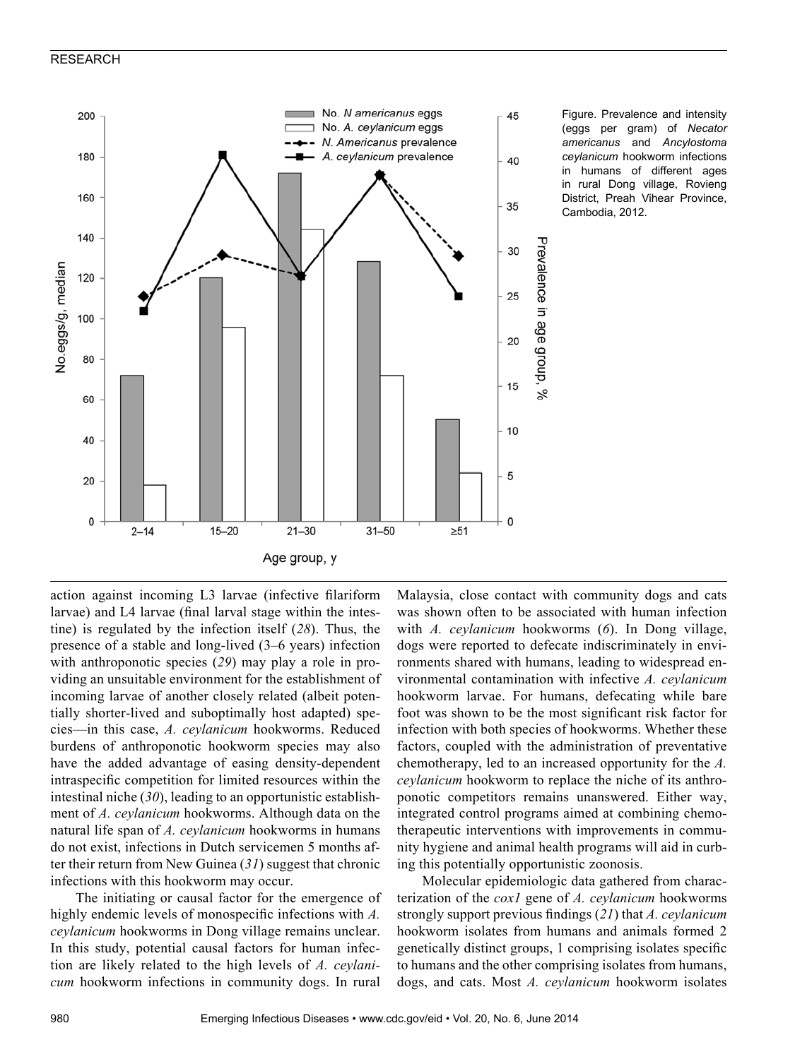#### RESEARCH



Figure. Prevalence and intensity (eggs per gram) of *Necator americanus* and *Ancylostoma ceylanicum* hookworm infections in humans of different ages in rural Dong village, Rovieng District, Preah Vihear Province, Cambodia, 2012.

action against incoming L3 larvae (infective filariform larvae) and L4 larvae (final larval stage within the intestine) is regulated by the infection itself (*28*). Thus, the presence of a stable and long-lived (3–6 years) infection with anthroponotic species (*29*) may play a role in providing an unsuitable environment for the establishment of incoming larvae of another closely related (albeit potentially shorter-lived and suboptimally host adapted) species—in this case, *A. ceylanicum* hookworms. Reduced burdens of anthroponotic hookworm species may also have the added advantage of easing density-dependent intraspecific competition for limited resources within the intestinal niche (*30*), leading to an opportunistic establishment of *A. ceylanicum* hookworms. Although data on the natural life span of *A. ceylanicum* hookworms in humans do not exist, infections in Dutch servicemen 5 months after their return from New Guinea (*31*) suggest that chronic infections with this hookworm may occur.

The initiating or causal factor for the emergence of highly endemic levels of monospecific infections with *A. ceylanicum* hookworms in Dong village remains unclear. In this study, potential causal factors for human infection are likely related to the high levels of *A. ceylanicum* hookworm infections in community dogs. In rural

Malaysia, close contact with community dogs and cats was shown often to be associated with human infection with *A. ceylanicum* hookworms (*6*). In Dong village, dogs were reported to defecate indiscriminately in environments shared with humans, leading to widespread environmental contamination with infective *A. ceylanicum* hookworm larvae. For humans, defecating while bare foot was shown to be the most significant risk factor for infection with both species of hookworms. Whether these factors, coupled with the administration of preventative chemotherapy, led to an increased opportunity for the *A. ceylanicum* hookworm to replace the niche of its anthroponotic competitors remains unanswered. Either way, integrated control programs aimed at combining chemotherapeutic interventions with improvements in community hygiene and animal health programs will aid in curbing this potentially opportunistic zoonosis.

Molecular epidemiologic data gathered from characterization of the *cox1* gene of *A. ceylanicum* hookworms strongly support previous findings (*21*) that *A. ceylanicum* hookworm isolates from humans and animals formed 2 genetically distinct groups, 1 comprising isolates specific to humans and the other comprising isolates from humans, dogs, and cats. Most *A. ceylanicum* hookworm isolates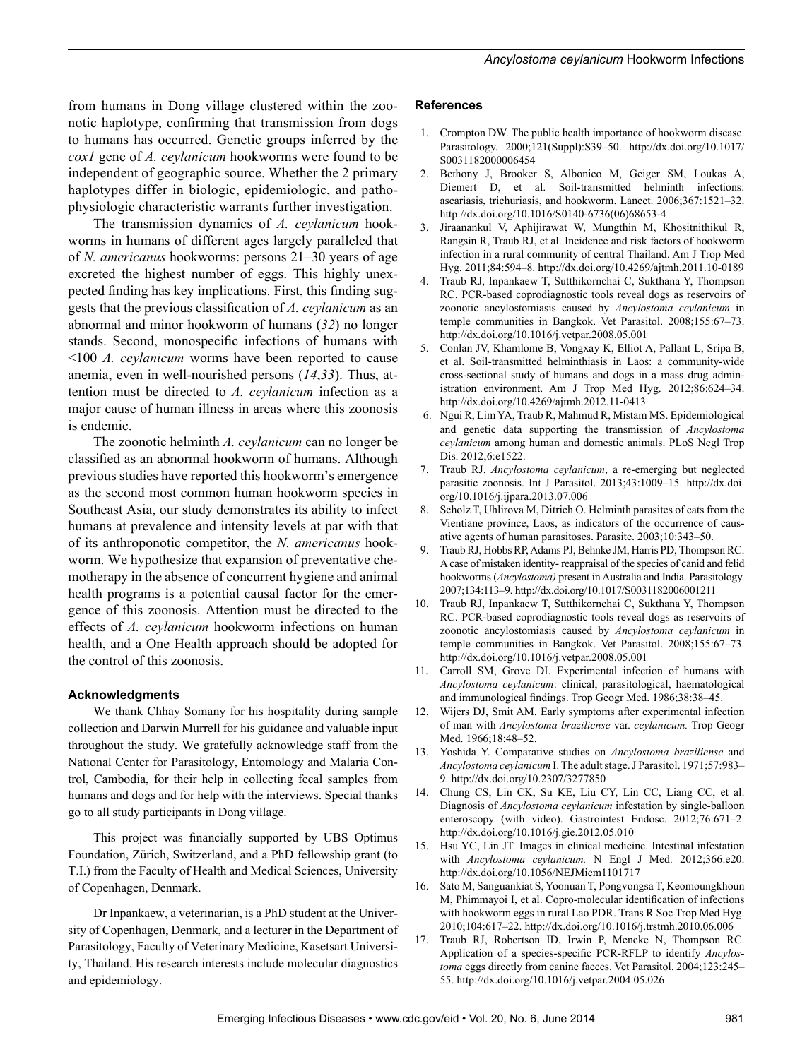from humans in Dong village clustered within the zoonotic haplotype, confirming that transmission from dogs to humans has occurred. Genetic groups inferred by the *cox1* gene of *A. ceylanicum* hookworms were found to be independent of geographic source. Whether the 2 primary haplotypes differ in biologic, epidemiologic, and pathophysiologic characteristic warrants further investigation.

The transmission dynamics of *A. ceylanicum* hookworms in humans of different ages largely paralleled that of *N. americanus* hookworms: persons 21–30 years of age excreted the highest number of eggs. This highly unexpected finding has key implications. First, this finding suggests that the previous classification of *A. ceylanicum* as an abnormal and minor hookworm of humans (*32*) no longer stands. Second, monospecific infections of humans with <100 *A. ceylanicum* worms have been reported to cause anemia, even in well-nourished persons (*14*,*33*). Thus, attention must be directed to *A. ceylanicum* infection as a major cause of human illness in areas where this zoonosis is endemic.

The zoonotic helminth *A. ceylanicum* can no longer be classified as an abnormal hookworm of humans. Although previous studies have reported this hookworm's emergence as the second most common human hookworm species in Southeast Asia, our study demonstrates its ability to infect humans at prevalence and intensity levels at par with that of its anthroponotic competitor, the *N. americanus* hookworm. We hypothesize that expansion of preventative chemotherapy in the absence of concurrent hygiene and animal health programs is a potential causal factor for the emergence of this zoonosis. Attention must be directed to the effects of *A. ceylanicum* hookworm infections on human health, and a One Health approach should be adopted for the control of this zoonosis.

#### **Acknowledgments**

We thank Chhay Somany for his hospitality during sample collection and Darwin Murrell for his guidance and valuable input throughout the study. We gratefully acknowledge staff from the National Center for Parasitology, Entomology and Malaria Control, Cambodia, for their help in collecting fecal samples from humans and dogs and for help with the interviews. Special thanks go to all study participants in Dong village.

This project was financially supported by UBS Optimus Foundation, Zürich, Switzerland, and a PhD fellowship grant (to T.I.) from the Faculty of Health and Medical Sciences, University of Copenhagen, Denmark.

Dr Inpankaew, a veterinarian, is a PhD student at the University of Copenhagen, Denmark, and a lecturer in the Department of Parasitology, Faculty of Veterinary Medicine, Kasetsart University, Thailand. His research interests include molecular diagnostics and epidemiology.

#### **References**

- 1. Crompton DW. The public health importance of hookworm disease. Parasitology. 2000;121(Suppl):S39–50. http://dx.doi.org/10.1017/ S0031182000006454
- 2. Bethony J, Brooker S, Albonico M, Geiger SM, Loukas A, Diemert D, et al. Soil-transmitted helminth infections: ascariasis, trichuriasis, and hookworm. Lancet. 2006;367:1521–32. http://dx.doi.org/10.1016/S0140-6736(06)68653-4
- 3. Jiraanankul V, Aphijirawat W, Mungthin M, Khositnithikul R, Rangsin R, Traub RJ, et al. Incidence and risk factors of hookworm infection in a rural community of central Thailand. Am J Trop Med Hyg. 2011;84:594–8. http://dx.doi.org/10.4269/ajtmh.2011.10-0189
- 4. Traub RJ, Inpankaew T, Sutthikornchai C, Sukthana Y, Thompson RC. PCR-based coprodiagnostic tools reveal dogs as reservoirs of zoonotic ancylostomiasis caused by *Ancylostoma ceylanicum* in temple communities in Bangkok. Vet Parasitol. 2008;155:67–73. http://dx.doi.org/10.1016/j.vetpar.2008.05.001
- 5. Conlan JV, Khamlome B, Vongxay K, Elliot A, Pallant L, Sripa B, et al. Soil-transmitted helminthiasis in Laos: a community-wide cross-sectional study of humans and dogs in a mass drug administration environment. Am J Trop Med Hyg. 2012;86:624–34. http://dx.doi.org/10.4269/ajtmh.2012.11-0413
- 6. Ngui R, Lim YA, Traub R, Mahmud R, Mistam MS. Epidemiological and genetic data supporting the transmission of *Ancylostoma ceylanicum* among human and domestic animals. PLoS Negl Trop Dis. 2012;6:e1522.
- 7. Traub RJ. *Ancylostoma ceylanicum*, a re-emerging but neglected parasitic zoonosis. Int J Parasitol. 2013;43:1009–15. http://dx.doi. org/10.1016/j.ijpara.2013.07.006
- 8. Scholz T, Uhlirova M, Ditrich O. Helminth parasites of cats from the Vientiane province, Laos, as indicators of the occurrence of causative agents of human parasitoses. Parasite. 2003;10:343–50.
- 9. Traub RJ, Hobbs RP, Adams PJ, Behnke JM, Harris PD, Thompson RC. A case of mistaken identity- reappraisal of the species of canid and felid hookworms (*Ancylostoma)* present in Australia and India. Parasitology. 2007;134:113–9. http://dx.doi.org/10.1017/S0031182006001211
- 10. Traub RJ, Inpankaew T, Sutthikornchai C, Sukthana Y, Thompson RC. PCR-based coprodiagnostic tools reveal dogs as reservoirs of zoonotic ancylostomiasis caused by *Ancylostoma ceylanicum* in temple communities in Bangkok. Vet Parasitol. 2008;155:67–73. http://dx.doi.org/10.1016/j.vetpar.2008.05.001
- 11. Carroll SM, Grove DI. Experimental infection of humans with *Ancylostoma ceylanicum*: clinical, parasitological, haematological and immunological findings. Trop Geogr Med. 1986;38:38–45.
- 12. Wijers DJ, Smit AM. Early symptoms after experimental infection of man with *Ancylostoma braziliense* var. *ceylanicum.* Trop Geogr Med. 1966;18:48–52.
- 13. Yoshida Y. Comparative studies on *Ancylostoma braziliense* and *Ancylostoma ceylanicum* I. The adult stage. J Parasitol. 1971;57:983– 9. http://dx.doi.org/10.2307/3277850
- 14. Chung CS, Lin CK, Su KE, Liu CY, Lin CC, Liang CC, et al. Diagnosis of *Ancylostoma ceylanicum* infestation by single-balloon enteroscopy (with video). Gastrointest Endosc. 2012;76:671–2. http://dx.doi.org/10.1016/j.gie.2012.05.010
- 15. Hsu YC, Lin JT. Images in clinical medicine. Intestinal infestation with *Ancylostoma ceylanicum.* N Engl J Med. 2012;366:e20. http://dx.doi.org/10.1056/NEJMicm1101717
- 16. Sato M, Sanguankiat S, Yoonuan T, Pongvongsa T, Keomoungkhoun M, Phimmayoi I, et al. Copro-molecular identification of infections with hookworm eggs in rural Lao PDR. Trans R Soc Trop Med Hyg. 2010;104:617–22. http://dx.doi.org/10.1016/j.trstmh.2010.06.006
- 17. Traub RJ, Robertson ID, Irwin P, Mencke N, Thompson RC. Application of a species-specific PCR-RFLP to identify *Ancylostoma* eggs directly from canine faeces. Vet Parasitol. 2004;123:245– 55. http://dx.doi.org/10.1016/j.vetpar.2004.05.026